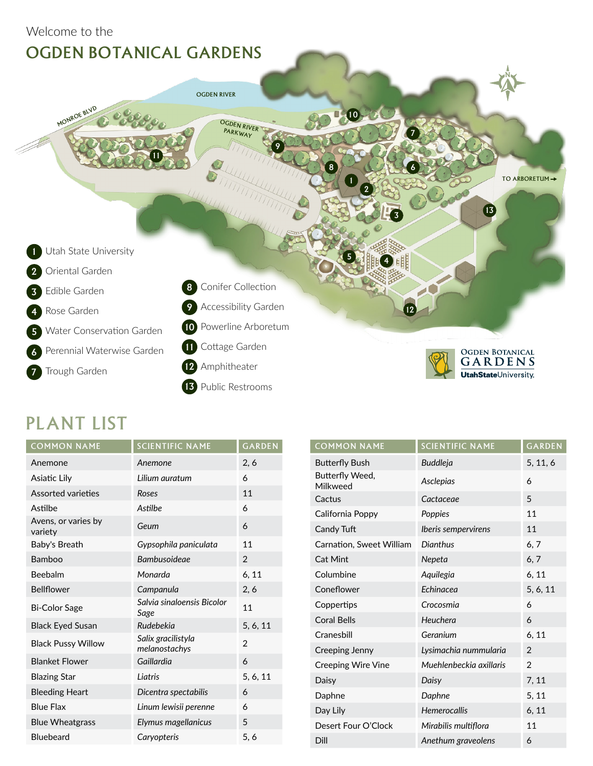

## PLANT LIST

| <b>COMMON NAME</b>             | <b>SCIENTIFIC NAME</b>              | <b>GARDEN</b>  | <b>COMMON NAME</b>           | <b>SCIENTIFIC NAME</b>            | <b>GARDEN</b>           |
|--------------------------------|-------------------------------------|----------------|------------------------------|-----------------------------------|-------------------------|
| Anemone                        | Anemone                             | 2, 6           | <b>Butterfly Bush</b>        | <b>Buddleja</b>                   | 5, 11, 6                |
| Asiatic Lily                   | Lilium auratum                      | 6              | Butterfly Weed,<br>Milkweed  | Asclepias                         | 6                       |
| Assorted varieties             | Roses                               | 11             | Cactus                       | Cactaceae                         | 5                       |
| Astilbe                        | Astilbe                             | 6              | California Poppy             | Poppies                           | 11                      |
| Avens, or varies by<br>variety | Geum                                | 6              | Candy Tuft                   | Iberis sempervirens               | 11                      |
| Baby's Breath                  | Gypsophila paniculata               | 11             | Carnation, Sweet William     | Dianthus                          | 6, 7                    |
| Bamboo                         | <b>Bambusoideae</b>                 | $\overline{2}$ | Cat Mint                     | Nepeta                            | 6, 7                    |
| Beebalm                        | Monarda                             | 6, 11          | Columbine                    | Aquilegia                         | 6, 11                   |
| <b>Bellflower</b>              | Campanula                           | 2, 6           | Coneflower                   | Echinacea                         | 5, 6, 11                |
| <b>Bi-Color Sage</b>           | Salvia sinaloensis Bicolor<br>Sage  | 11             | Coppertips                   | Crocosmia                         | 6                       |
| <b>Black Eyed Susan</b>        | Rudebekia                           | 5, 6, 11       | <b>Coral Bells</b>           | Heuchera                          | 6                       |
| <b>Black Pussy Willow</b>      | Salix gracilistyla<br>melanostachys | $\overline{2}$ | Cranesbill<br>Creeping Jenny | Geranium<br>Lysimachia nummularia | 6, 11<br>$\overline{2}$ |
| <b>Blanket Flower</b>          | Gaillardia                          | 6              | Creeping Wire Vine           | Muehlenbeckia axillaris           | $\overline{2}$          |
| <b>Blazing Star</b>            | Liatris                             | 5, 6, 11       | Daisy                        | Daisy                             | 7, 11                   |
| <b>Bleeding Heart</b>          | Dicentra spectabilis                | 6              | Daphne                       | Daphne                            | 5, 11                   |
| <b>Blue Flax</b>               | Linum lewisii perenne               | 6              | Day Lily                     | <b>Hemerocallis</b>               | 6, 11                   |
| <b>Blue Wheatgrass</b>         | Elymus magellanicus                 | 5              | Desert Four O'Clock          | Mirabilis multiflora              | 11                      |
| <b>Bluebeard</b>               | Caryopteris                         | 5, 6           | <b>Dill</b>                  | Anethum graveolens                | 6                       |

| <b>COMMON NAME</b>          | <b>SCIENTIFIC NAME</b>  | <b>GARDEN</b>  |
|-----------------------------|-------------------------|----------------|
| <b>Butterfly Bush</b>       | <b>Buddleja</b>         | 5, 11, 6       |
| Butterfly Weed,<br>Milkweed | Asclepias               | 6              |
| Cactus                      | Cactaceae               | 5              |
| California Poppy            | Poppies                 | 11             |
| Candy Tuft                  | Iberis sempervirens     | 11             |
| Carnation, Sweet William    | Dianthus                | 6, 7           |
| Cat Mint                    | Nepeta                  | 6, 7           |
| Columbine                   | Aquilegia               | 6, 11          |
| Coneflower                  | Echinacea               | 5, 6, 11       |
| Coppertips                  | Crocosmia               | 6              |
| <b>Coral Bells</b>          | Heuchera                | 6              |
| Cranesbill                  | Geranium                | 6.11           |
| Creeping Jenny              | Lysimachia nummularia   | 2              |
| Creeping Wire Vine          | Muehlenbeckia axillaris | $\mathfrak{D}$ |
| Daisy                       | Daisy                   | 7, 11          |
| Daphne                      | Daphne                  | 5, 11          |
| Day Lily                    | <b>Hemerocallis</b>     | 6, 11          |
| Desert Four O'Clock         | Mirabilis multiflora    | 11             |
| Dill                        | Anethum graveolens      | 6              |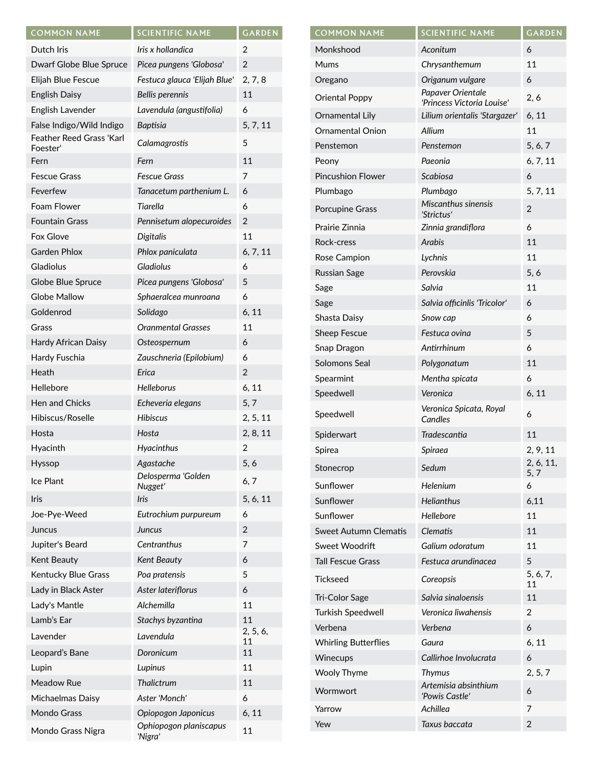| <b>COMMON NAME</b>                   | <b>SCIENTIFIC NAME</b>        | GARDEN         | <b>COMMON NAME</b>                     | <b>SCIENTIFIC NAME</b>                          | <b>GARDEN</b>     |
|--------------------------------------|-------------------------------|----------------|----------------------------------------|-------------------------------------------------|-------------------|
| Dutch Iris                           | Iris x hollandica             | 2              | Monkshood                              | Aconitum                                        | 6                 |
| Dwarf Globe Blue Spruce              | Picea pungens 'Globosa'       | 2              | <b>Mums</b>                            | Chrysanthemum                                   | 11                |
| Elijah Blue Fescue                   | Festuca glauca 'Elijah Blue'  | 2, 7, 8        | Oregano                                | Origanum vulgare                                | 6                 |
| <b>English Daisy</b>                 | Bellis perennis               | 11             | <b>Oriental Poppy</b>                  | Papaver Orientale<br>'Princess Victoria Louise' | 2, 6              |
| English Lavender                     | Lavendula (angustifolia)      | 6              | Ornamental Lily                        | Lilium orientalis 'Stargazer'                   | 6, 11             |
| False Indigo/Wild Indigo             | <b>Baptisia</b>               | 5, 7, 11       | <b>Ornamental Onion</b>                | Allium                                          | 11                |
| Feather Reed Grass 'Karl<br>Foester' | Calamagrostis                 | 5              | Penstemon                              | Penstemon                                       | 5, 6, 7           |
| Fern                                 | Fern                          | 11             | Peony                                  | Paeonia                                         | 6, 7, 11          |
| <b>Fescue Grass</b>                  | <b>Fescue Grass</b>           | 7              | <b>Pincushion Flower</b>               | Scabiosa                                        | 6                 |
| Feverfew                             | Tanacetum parthenium L.       | 6              | Plumbago                               | Plumbago                                        | 5, 7, 11          |
| Foam Flower                          | Tiarella                      | 6              | Porcupine Grass                        | Miscanthus sinensis                             | $\overline{2}$    |
| <b>Fountain Grass</b>                | Pennisetum alopecuroides      | $\sqrt{2}$     |                                        | 'Strictus'                                      |                   |
| Fox Glove                            | <b>Digitalis</b>              | 11             | Prairie Zinnia                         | Zinnia grandiflora                              | 6                 |
| <b>Garden Phlox</b>                  | Phlox paniculata              | 6, 7, 11       | Rock-cress                             | Arabis                                          | 11                |
| Gladiolus                            | <b>Gladiolus</b>              | 6              | Rose Campion                           | Lychnis                                         | 11                |
| Globe Blue Spruce                    | Picea pungens 'Globosa'       | 5              | <b>Russian Sage</b>                    | Perovskia                                       | 5, 6              |
| <b>Globe Mallow</b>                  | Sphaeralcea munroana          | 6              | Sage                                   | Salvia                                          | 11                |
| Goldenrod                            | Solidago                      | 6, 11          | Sage                                   | Salvia officinlis 'Tricolor'                    | 6                 |
|                                      | <b>Oranmental Grasses</b>     | 11             | Shasta Daisy                           | Snow cap                                        | 6                 |
| Grass                                |                               |                | Sheep Fescue                           | Festuca ovina                                   | 5                 |
| Hardy African Daisy                  | Osteospernum                  | 6              | Snap Dragon                            | Antirrhinum                                     | 6                 |
| Hardy Fuschia                        | Zauschneria (Epilobium)       | 6              | Solomons Seal                          | Polygonatum                                     | 11                |
| Heath                                | Erica                         | $\overline{c}$ | Spearmint                              | Mentha spicata                                  | 6                 |
| Hellebore                            | <b>Helleborus</b>             | 6, 11          | Speedwell                              | Veronica                                        | 6, 11             |
| <b>Hen and Chicks</b>                | Echeveria elegans             | 5, 7           | Speedwell                              | Veronica Spicata, Royal                         | 6                 |
| Hibiscus/Roselle                     | <b>Hibiscus</b>               | 2, 5, 11       |                                        | Candles                                         |                   |
| Hosta                                | Hosta                         | 2, 8, 11       | Spiderwart                             | Tradescantia                                    | 11                |
| Hyacinth                             | Hyacinthus                    | 2              | Spirea                                 | Spiraea                                         | 2, 9, 11          |
| Hyssop                               | Agastache                     | 5, 6           | Stonecrop                              | Sedum                                           | 2, 6, 11,<br>5, 7 |
| Ice Plant                            | Delosperma 'Golden<br>Nugget' | 6, 7           | Sunflower                              | Helenium                                        | 6                 |
| Iris                                 | Iris                          | 5, 6, 11       | Sunflower                              | <b>Helianthus</b>                               | 6,11              |
| Joe-Pye-Weed                         | Eutrochium purpureum          | 6              | Sunflower                              | Hellebore                                       | 11                |
| Juncus                               | Juncus                        | $\overline{c}$ | <b>Sweet Autumn Clematis</b>           | Clematis                                        | 11                |
| Jupiter's Beard                      | Centranthus                   | 7              | Sweet Woodrift                         | Galium odoratum                                 | 11                |
| Kent Beauty                          | <b>Kent Beauty</b>            | 6              | <b>Tall Fescue Grass</b>               | Festuca arundinacea                             | 5                 |
| Kentucky Blue Grass                  | Poa pratensis                 | 5              | <b>Tickseed</b>                        | Coreopsis                                       | 5, 6, 7,          |
| Lady in Black Aster                  | Aster lateriflorus            | 6              |                                        |                                                 | 11                |
| Lady's Mantle                        | Alchemilla                    | 11             | Tri-Color Sage                         | Salvia sinaloensis                              | 11                |
| Lamb's Ear                           | Stachys byzantina             | 11             | Turkish Speedwell                      | Veronica liwahensis                             | $\overline{2}$    |
| Lavender                             | Lavendula                     | 2, 5, 6,<br>11 | Verbena<br><b>Whirling Butterflies</b> | Verbena<br>Gaura                                | 6<br>6, 11        |
| Leopard's Bane                       | Doronicum                     | 11             | Winecups                               | Callirhoe Involucrata                           | 6                 |
| Lupin                                | Lupinus                       | 11             |                                        |                                                 |                   |
| Meadow Rue                           | Thalictrum                    | 11             | <b>Wooly Thyme</b>                     | <b>Thymus</b><br>Artemisia absinthium           | 2, 5, 7           |
| Michaelmas Daisy                     | Aster 'Monch'                 | 6              | Wormwort                               | 'Powis Castle'                                  | 6                 |
| Mondo Grass                          | Opiopogon Japonicus           | 6, 11          | Yarrow                                 | Achillea                                        | 7                 |
| Mondo Grass Nigra                    | Ophiopogon planiscapus        | 11             | Yew                                    | Taxus baccata                                   | $\overline{2}$    |
|                                      | 'Nigra'                       |                |                                        |                                                 |                   |

| COMMON NAME                  | <b>SCIENTIFIC NAME</b>                          | GARDEN            |
|------------------------------|-------------------------------------------------|-------------------|
| Monkshood                    | Aconitum                                        | 6                 |
| Mums                         | Chrysanthemum                                   | 11                |
| Oregano                      | Origanum vulgare                                | 6                 |
| Oriental Poppy               | Papaver Orientale<br>'Princess Victoria Louise' | 2, 6              |
| Ornamental Lily              | Lilium orientalis 'Stargazer'                   | 6, 11             |
| <b>Ornamental Onion</b>      | Allium                                          | 11                |
| Penstemon                    | Penstemon                                       | 5, 6, 7           |
| Peony                        | Paeonia                                         | 6, 7, 11          |
| <b>Pincushion Flower</b>     | <b>Scabiosa</b>                                 | 6                 |
| Plumbago                     | Plumbago                                        | 5, 7, 11          |
| Porcupine Grass              | Miscanthus sinensis<br>'Strictus'               | $\overline{2}$    |
| Prairie Zinnia               | Zinnia grandiflora                              | 6                 |
| Rock-cress                   | <b>Arabis</b>                                   | 11                |
| Rose Campion                 | Lychnis                                         | 11                |
| Russian Sage                 | Perovskia                                       | 5, 6              |
| Sage                         | Salvia                                          | 11                |
| Sage                         | Salvia officinlis 'Tricolor'                    | 6                 |
| Shasta Daisy                 | Snow cap                                        | 6                 |
| Sheep Fescue                 | Festuca ovina                                   | 5                 |
| Snap Dragon                  | Antirrhinum                                     | 6                 |
| Solomons Seal                | Polygonatum                                     | 11                |
| Spearmint                    | Mentha spicata                                  | 6                 |
| Speedwell                    | Veronica                                        | 6, 11             |
| Speedwell                    | Veronica Spicata, Royal<br>Candles              | 6                 |
| Spiderwart                   | <b>Tradescantia</b>                             | 11                |
| Spirea                       | Spiraea                                         | 2, 9, 11          |
| Stonecrop                    | Sedum                                           | 2, 6, 11,<br>5, 7 |
| Sunflower                    | Helenium                                        | 6                 |
| Sunflower                    | <b>Helianthus</b>                               | 6,11              |
| Sunflower                    | Hellebore                                       | 11                |
| <b>Sweet Autumn Clematis</b> | <b>Clematis</b>                                 | 11                |
| Sweet Woodrift               | Galium odoratum                                 | 11                |
| <b>Tall Fescue Grass</b>     | Festuca arundinacea                             | 5                 |
| Tickseed                     | Coreopsis                                       | 5, 6, 7,<br>11    |
| <b>Tri-Color Sage</b>        | Salvia sinaloensis                              | 11                |
| <b>Turkish Speedwell</b>     | Veronica liwahensis                             | 2                 |
| Verbena                      | Verbena                                         | 6                 |
| <b>Whirling Butterflies</b>  | Gaura                                           | 6, 11             |
| Winecups                     | Callirhoe Involucrata                           | 6                 |
| <b>Wooly Thyme</b>           | <b>Thymus</b>                                   | 2, 5, 7           |
| Wormwort                     | Artemisia absinthium<br>'Powis Castle'          | 6                 |
| Yarrow                       | Achillea                                        | 7                 |
| Yew                          | Taxus baccata                                   | 2                 |
|                              |                                                 |                   |